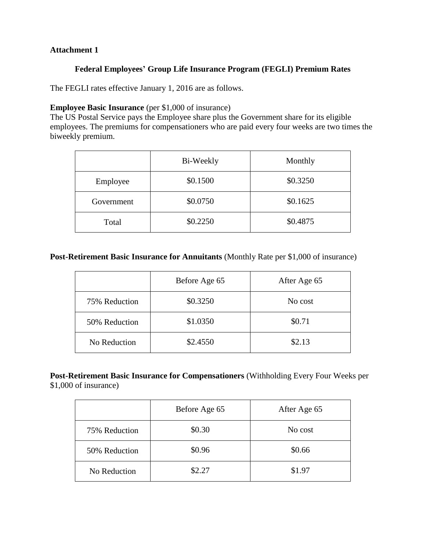### **Attachment 1**

### **Federal Employees' Group Life Insurance Program (FEGLI) Premium Rates**

The FEGLI rates effective January 1, 2016 are as follows.

#### **Employee Basic Insurance** (per \$1,000 of insurance)

The US Postal Service pays the Employee share plus the Government share for its eligible employees. The premiums for compensationers who are paid every four weeks are two times the biweekly premium.

|            | Bi-Weekly | Monthly  |
|------------|-----------|----------|
| Employee   | \$0.1500  | \$0.3250 |
| Government | \$0.0750  | \$0.1625 |
| Total      | \$0.2250  | \$0.4875 |

## **Post-Retirement Basic Insurance for Annuitants** (Monthly Rate per \$1,000 of insurance)

|               | Before Age 65 | After Age 65 |
|---------------|---------------|--------------|
| 75% Reduction | \$0.3250      | No cost      |
| 50% Reduction | \$1.0350      | \$0.71       |
| No Reduction  | \$2.4550      | \$2.13       |

## **Post-Retirement Basic Insurance for Compensationers** (Withholding Every Four Weeks per \$1,000 of insurance)

|               | Before Age 65 | After Age 65 |
|---------------|---------------|--------------|
| 75% Reduction | \$0.30        | No cost      |
| 50% Reduction | \$0.96        | \$0.66       |
| No Reduction  | \$2.27        | \$1.97       |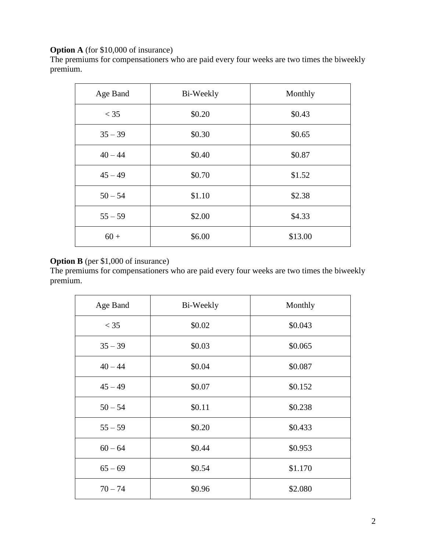# **Option A** (for \$10,000 of insurance)

The premiums for compensationers who are paid every four weeks are two times the biweekly premium.

| Age Band  | Bi-Weekly | Monthly |
|-----------|-----------|---------|
| $<$ 35    | \$0.20    | \$0.43  |
| $35 - 39$ | \$0.30    | \$0.65  |
| $40 - 44$ | \$0.40    | \$0.87  |
| $45 - 49$ | \$0.70    | \$1.52  |
| $50 - 54$ | \$1.10    | \$2.38  |
| $55 - 59$ | \$2.00    | \$4.33  |
| $60 +$    | \$6.00    | \$13.00 |

# **Option B** (per \$1,000 of insurance)

The premiums for compensationers who are paid every four weeks are two times the biweekly premium.

| Age Band  | Bi-Weekly | Monthly |
|-----------|-----------|---------|
| $<$ 35    | \$0.02    | \$0.043 |
| $35 - 39$ | \$0.03    | \$0.065 |
| $40 - 44$ | \$0.04    | \$0.087 |
| $45 - 49$ | \$0.07    | \$0.152 |
| $50 - 54$ | \$0.11    | \$0.238 |
| $55 - 59$ | \$0.20    | \$0.433 |
| $60 - 64$ | \$0.44    | \$0.953 |
| $65 - 69$ | \$0.54    | \$1.170 |
| $70 - 74$ | \$0.96    | \$2.080 |